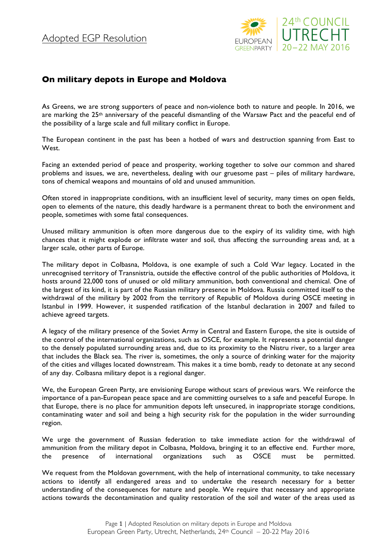

## **On military depots in Europe and Moldova**

As Greens, we are strong supporters of peace and non-violence both to nature and people. In 2016, we are marking the  $25<sup>th</sup>$  anniversary of the peaceful dismantling of the Warsaw Pact and the peaceful end of the possibility of a large scale and full military conflict in Europe.

The European continent in the past has been a hotbed of wars and destruction spanning from East to West.

Facing an extended period of peace and prosperity, working together to solve our common and shared problems and issues, we are, nevertheless, dealing with our gruesome past – piles of military hardware, tons of chemical weapons and mountains of old and unused ammunition.

Often stored in inappropriate conditions, with an insufficient level of security, many times on open fields, open to elements of the nature, this deadly hardware is a permanent threat to both the environment and people, sometimes with some fatal consequences.

Unused military ammunition is often more dangerous due to the expiry of its validity time, with high chances that it might explode or infiltrate water and soil, thus affecting the surrounding areas and, at a larger scale, other parts of Europe.

The military depot in Colbasna, Moldova, is one example of such a Cold War legacy. Located in the unrecognised territory of Transnistria, outside the effective control of the public authorities of Moldova, it hosts around 22,000 tons of unused or old military ammunition, both conventional and chemical. One of the largest of its kind, it is part of the Russian military presence in Moldova. Russia committed itself to the withdrawal of the military by 2002 from the territory of Republic of Moldova during OSCE meeting in Istanbul in 1999. However, it suspended ratification of the Istanbul declaration in 2007 and failed to achieve agreed targets.

A legacy of the military presence of the Soviet Army in Central and Eastern Europe, the site is outside of the control of the international organizations, such as OSCE, for example. It represents a potential danger to the densely populated surrounding areas and, due to its proximity to the Nistru river, to a larger area that includes the Black sea. The river is, sometimes, the only a source of drinking water for the majority of the cities and villages located downstream. This makes it a time bomb, ready to detonate at any second of any day. Colbasna military depot is a regional danger.

We, the European Green Party, are envisioning Europe without scars of previous wars. We reinforce the importance of a pan-European peace space and are committing ourselves to a safe and peaceful Europe. In that Europe, there is no place for ammunition depots left unsecured, in inappropriate storage conditions, contaminating water and soil and being a high security risk for the population in the wider surrounding region.

We urge the government of Russian federation to take immediate action for the withdrawal of ammunition from the military depot in Colbasna, Moldova, bringing it to an effective end. Further more, the presence of international organizations such as OSCE must be permitted.

We request from the Moldovan government, with the help of international community, to take necessary actions to identify all endangered areas and to undertake the research necessary for a better understanding of the consequences for nature and people. We require that necessary and appropriate actions towards the decontamination and quality restoration of the soil and water of the areas used as